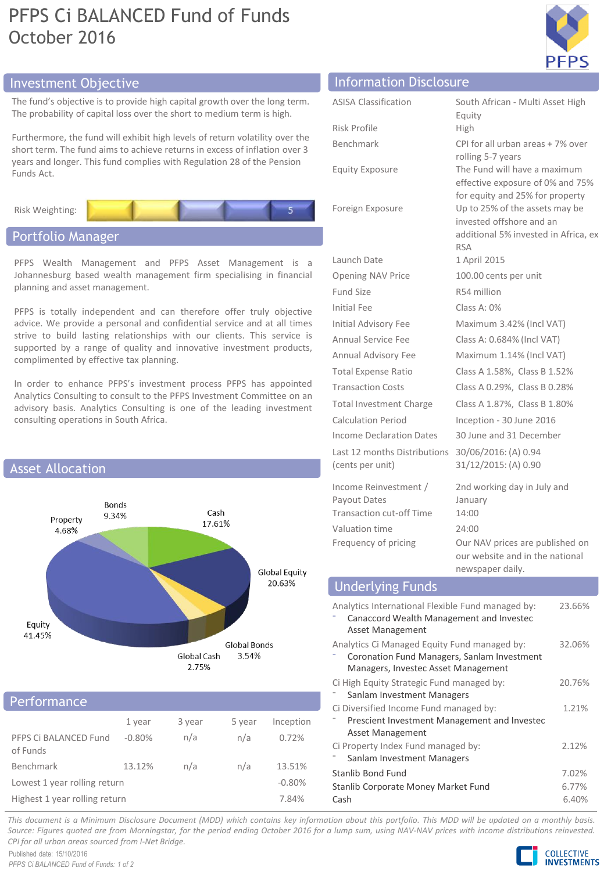# PFPS Ci BALANCED Fund of Funds October 2016



# Investment Objective Information Disclosure

The fund's objective is to provide high capital growth over the lo The probability of capital loss over the short to medium term is ht

Furthermore, the fund will exhibit high levels of return volatility short term. The fund aims to achieve returns in excess of inflatio years and longer. This fund complies with Regulation 28 of the P Funds Act.

Risk Weighting:

# Portfolio Manager

PFPS Wealth Management and PFPS Asset Management is a Johannesburg based wealth management firm specialising in financial planning and asset management.

PFPS is totally independent and can therefore offer truly objective advice. We provide a personal and confidential service and at all times strive to build lasting relationships with our clients. This service is supported by a range of quality and innovative investment products, complimented by effective tax planning.

In order to enhance PFPS's investment process PFPS has appointed Analytics Consulting to consult to the PFPS Investment Committee on an advisory basis. Analytics Consulting is one of the leading investment consulting operations in South Africa.



## Performance

| 1 - CHIVIII 1911 C                |          |        |        |           |
|-----------------------------------|----------|--------|--------|-----------|
|                                   | 1 year   | 3 year | 5 year | Inception |
| PFPS Ci BALANCED Fund<br>of Funds | $-0.80%$ | n/a    | n/a    | 0.72%     |
| Benchmark                         | 13.12%   | n/a    | n/a    | 13.51%    |
| Lowest 1 year rolling return      |          |        |        | $-0.80%$  |
| Highest 1 year rolling return     |          |        |        | 7.84%     |

| ng term.<br>iigh.              | <b>ASISA Classification</b> | South Afr<br>Equity                 |
|--------------------------------|-----------------------------|-------------------------------------|
| over the<br>n over 3<br>ension | Risk Profile                | High                                |
|                                | Benchmark                   | CPI for all<br>rolling 5-           |
|                                | <b>Equity Exposure</b>      | The Fund<br>effective<br>for equity |

Launch Date 1 April 2015 Fund Size R54 million Initial Fee Class A: 0%

Last 12 months Distributions (cents per unit)

Income Reinvestment / Payout Dates Transaction cut-off Time 14:00 Valuation time 24:00 Frequency of pricing Our NAV prices are published on

ican - Multi Asset High urban areas + 7% over 7 years will have a maximum exposure of 0% and 75% for equity and 25% for property Foreign Exposure Up to 25% of the assets may be invested offshore and an additional 5% invested in Africa, ex RSA Opening NAV Price 100.00 cents per unit Initial Advisory Fee Maximum 3.42% (Incl VAT) Annual Service Fee Class A: 0.684% (Incl VAT) Annual Advisory Fee Maximum 1.14% (Incl VAT) Total Expense Ratio Class A 1.58%, Class B 1.52% Transaction Costs Class A 0.29%, Class B 0.28% Total Investment Charge Class A 1.87%, Class B 1.80% Calculation Period Inception - 30 June 2016 Income Declaration Dates 30 June and 31 December 30/06/2016: (A) 0.94 31/12/2015: (A) 0.90 2nd working day in July and January

our website and in the national newspaper daily.

# Underlying Funds

| Analytics International Flexible Fund managed by:<br>Canaccord Wealth Management and Invested<br><b>Asset Management</b>           | 23.66% |  |
|------------------------------------------------------------------------------------------------------------------------------------|--------|--|
| Analytics Ci Managed Equity Fund managed by:<br>Coronation Fund Managers, Sanlam Investment<br>Managers, Investec Asset Management | 32.06% |  |
| Ci High Equity Strategic Fund managed by:                                                                                          | 20.76% |  |
| Sanlam Investment Managers                                                                                                         |        |  |
| Ci Diversified Income Fund managed by:                                                                                             | 1.21%  |  |
| Prescient Investment Management and Investec<br><b>Asset Management</b>                                                            |        |  |
| Ci Property Index Fund managed by:                                                                                                 | 2.12%  |  |
| Sanlam Investment Managers                                                                                                         |        |  |
| Stanlib Bond Fund                                                                                                                  | 7.02%  |  |
| Stanlib Corporate Money Market Fund                                                                                                |        |  |
| Cash                                                                                                                               | 6.40%  |  |

This document is a Minimum Disclosure Document (MDD) which contains key information about this portfolio. This MDD will be updated on a monthly basis. Source: Figures quoted are from Morningstar, for the period ending October 2016 for a lump sum, using NAV-NAV prices with income distributions reinvested. *CPI for all urban areas sourced from I-Net Bridge.*

Published date: 15/10/2016 *PFPS Ci BALANCED Fund of Funds: 1 of 2*